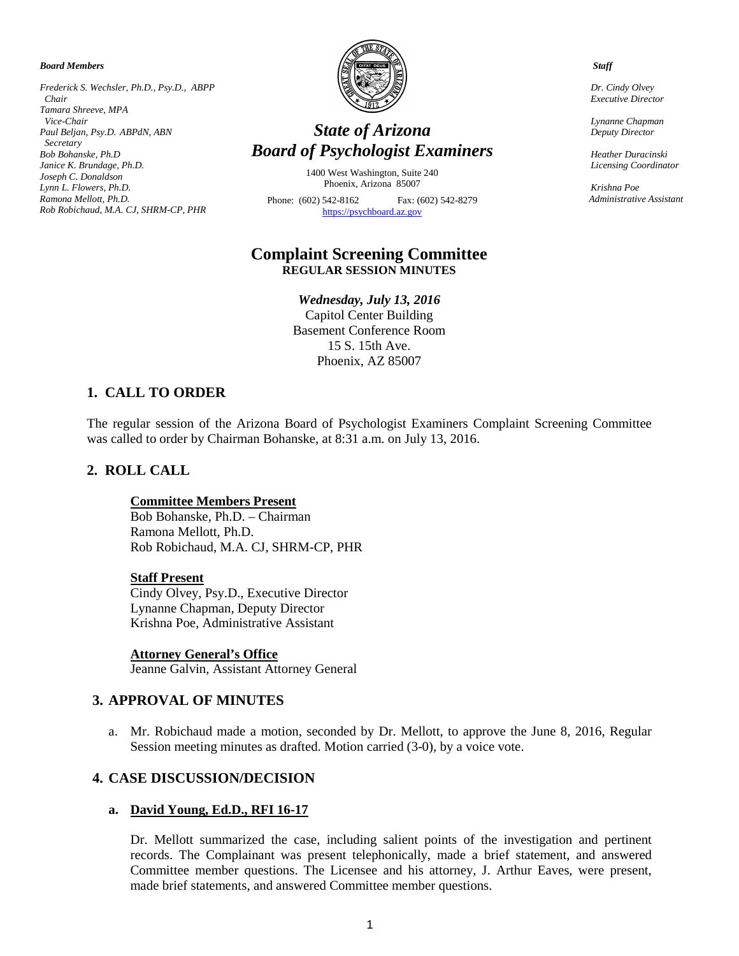*Board Members*

*Frederick S. Wechsler, Ph.D., Psy.D., ABPP Chair Tamara Shreeve, MPA Vice-Chair Paul Beljan, Psy.D. ABPdN, ABN Secretary Bob Bohanske, Ph.D Janice K. Brundage, Ph.D. Joseph C. Donaldson Lynn L. Flowers, Ph.D. Ramona Mellott, Ph.D. Rob Robichaud, M.A. CJ, SHRM-CP, PHR*



# *State of Arizona Board of Psychologist Examiners*

1400 West Washington, Suite 240 Phoenix, Arizona 85007

Phone: (602) 542-8162 Fax: (602) 542-8279 [https://psychboard.az.gov](https://psychboard.az.gov/)

# **Complaint Screening Committee REGULAR SESSION MINUTES**

*Wednesday, July 13, 2016* Capitol Center Building Basement Conference Room 15 S. 15th Ave. Phoenix, AZ 85007

# **1. CALL TO ORDER**

The regular session of the Arizona Board of Psychologist Examiners Complaint Screening Committee was called to order by Chairman Bohanske, at 8:31 a.m. on July 13, 2016.

## **2. ROLL CALL**

#### **Committee Members Present**

Bob Bohanske, Ph.D. – Chairman Ramona Mellott, Ph.D. Rob Robichaud, M.A. CJ, SHRM-CP, PHR

#### **Staff Present**

Cindy Olvey, Psy.D., Executive Director Lynanne Chapman, Deputy Director Krishna Poe, Administrative Assistant

#### **Attorney General's Office**

Jeanne Galvin, Assistant Attorney General

#### **3. APPROVAL OF MINUTES**

a. Mr. Robichaud made a motion, seconded by Dr. Mellott, to approve the June 8, 2016, Regular Session meeting minutes as drafted. Motion carried (3-0), by a voice vote.

## **4. CASE DISCUSSION/DECISION**

#### **a. David Young, Ed.D., RFI 16-17**

Dr. Mellott summarized the case, including salient points of the investigation and pertinent records. The Complainant was present telephonically, made a brief statement, and answered Committee member questions. The Licensee and his attorney, J. Arthur Eaves, were present, made brief statements, and answered Committee member questions.

 *Staff*

 *Dr. Cindy Olvey Executive Director*

 *Lynanne Chapman Deputy Director*

 *Heather Duracinski Licensing Coordinator* 

 *Krishna Poe Administrative Assistant*